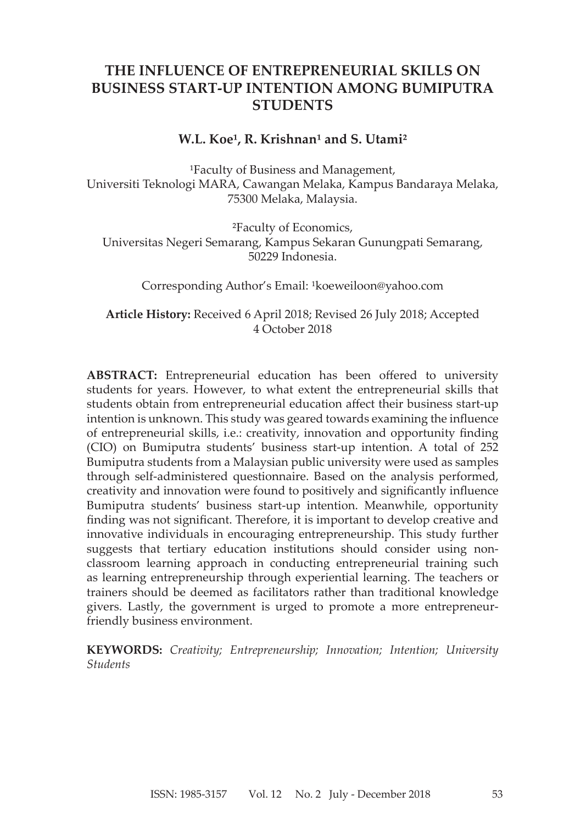#### **THE INFLUENCE OF ENTREPRENEURIAL SKILLS ON BUSINESS START-UP INTENTION AMONG BUMIPUTRA STUDENTS**

#### W.L. Koe<sup>1</sup>, R. Krishnan<sup>1</sup> and S. Utami<sup>2</sup>

<sup>1</sup>Faculty of Business and Management, Universiti Teknologi MARA, Cawangan Melaka, Kampus Bandaraya Melaka, 75300 Melaka, Malaysia.

²Faculty of Economics, Universitas Negeri Semarang, Kampus Sekaran Gunungpati Semarang, 50229 Indonesia.

Corresponding Author's Email: <sup>1</sup>koeweiloon@yahoo.com

**Article History:** Received 6 April 2018; Revised 26 July 2018; Accepted 4 October 2018

**ABSTRACT:** Entrepreneurial education has been offered to university students for years. However, to what extent the entrepreneurial skills that students obtain from entrepreneurial education affect their business start-up intention is unknown. This study was geared towards examining the influence of entrepreneurial skills, i.e.: creativity, innovation and opportunity finding (CIO) on Bumiputra students' business start-up intention. A total of 252 Bumiputra students from a Malaysian public university were used as samples through self-administered questionnaire. Based on the analysis performed, creativity and innovation were found to positively and significantly influence Bumiputra students' business start-up intention. Meanwhile, opportunity finding was not significant. Therefore, it is important to develop creative and innovative individuals in encouraging entrepreneurship. This study further suggests that tertiary education institutions should consider using nonclassroom learning approach in conducting entrepreneurial training such as learning entrepreneurship through experiential learning. The teachers or trainers should be deemed as facilitators rather than traditional knowledge givers. Lastly, the government is urged to promote a more entrepreneurfriendly business environment.

**KEYWORDS:** *Creativity; Entrepreneurship; Innovation; Intention; University Students*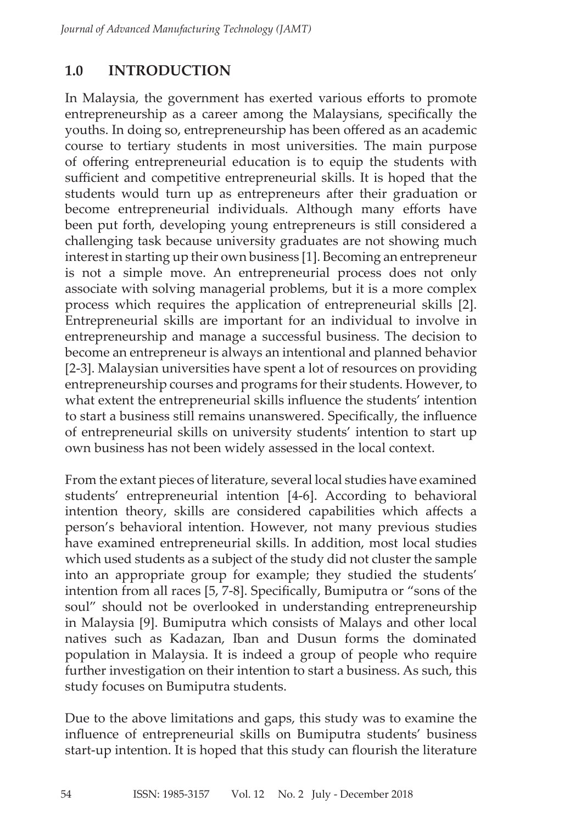# **1.0 INTRODUCTION**

In Malaysia, the government has exerted various efforts to promote entrepreneurship as a career among the Malaysians, specifically the youths. In doing so, entrepreneurship has been offered as an academic course to tertiary students in most universities. The main purpose of offering entrepreneurial education is to equip the students with sufficient and competitive entrepreneurial skills. It is hoped that the students would turn up as entrepreneurs after their graduation or become entrepreneurial individuals. Although many efforts have been put forth, developing young entrepreneurs is still considered a challenging task because university graduates are not showing much interest in starting up their own business [1]. Becoming an entrepreneur is not a simple move. An entrepreneurial process does not only associate with solving managerial problems, but it is a more complex process which requires the application of entrepreneurial skills [2]. Entrepreneurial skills are important for an individual to involve in entrepreneurship and manage a successful business. The decision to become an entrepreneur is always an intentional and planned behavior [2-3]. Malaysian universities have spent a lot of resources on providing entrepreneurship courses and programs for their students. However, to what extent the entrepreneurial skills influence the students' intention to start a business still remains unanswered. Specifically, the influence of entrepreneurial skills on university students' intention to start up own business has not been widely assessed in the local context.

From the extant pieces of literature, several local studies have examined students' entrepreneurial intention [4-6]. According to behavioral intention theory, skills are considered capabilities which affects a person's behavioral intention. However, not many previous studies have examined entrepreneurial skills. In addition, most local studies which used students as a subject of the study did not cluster the sample into an appropriate group for example; they studied the students' intention from all races [5, 7-8]. Specifically, Bumiputra or "sons of the soul" should not be overlooked in understanding entrepreneurship in Malaysia [9]. Bumiputra which consists of Malays and other local natives such as Kadazan, Iban and Dusun forms the dominated population in Malaysia. It is indeed a group of people who require further investigation on their intention to start a business. As such, this study focuses on Bumiputra students.

Due to the above limitations and gaps, this study was to examine the influence of entrepreneurial skills on Bumiputra students' business start-up intention. It is hoped that this study can flourish the literature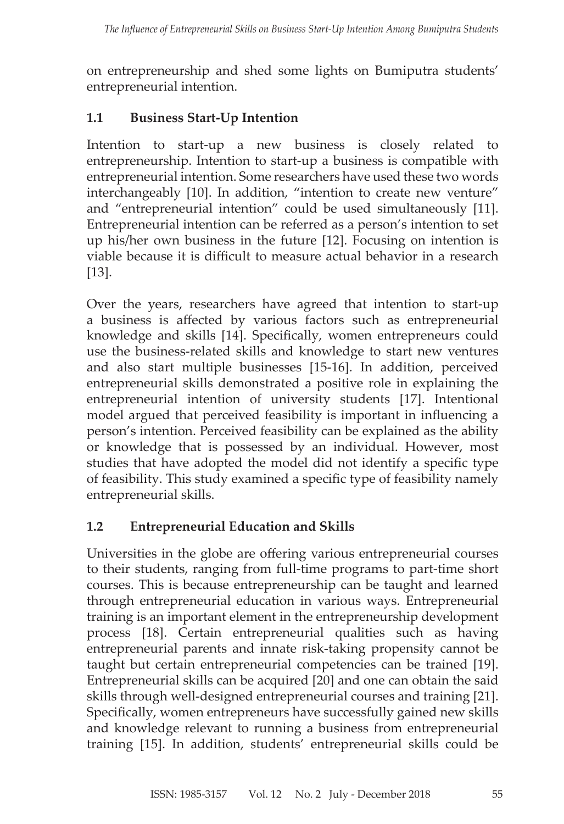on entrepreneurship and shed some lights on Bumiputra students' entrepreneurial intention.

### **1.1 Business Start-Up Intention**

Intention to start-up a new business is closely related to entrepreneurship. Intention to start-up a business is compatible with entrepreneurial intention. Some researchers have used these two words interchangeably [10]. In addition, "intention to create new venture" and "entrepreneurial intention" could be used simultaneously [11]. Entrepreneurial intention can be referred as a person's intention to set up his/her own business in the future [12]. Focusing on intention is viable because it is difficult to measure actual behavior in a research [13].

Over the years, researchers have agreed that intention to start-up a business is affected by various factors such as entrepreneurial knowledge and skills [14]. Specifically, women entrepreneurs could use the business-related skills and knowledge to start new ventures and also start multiple businesses [15-16]. In addition, perceived entrepreneurial skills demonstrated a positive role in explaining the entrepreneurial intention of university students [17]. Intentional model argued that perceived feasibility is important in influencing a person's intention. Perceived feasibility can be explained as the ability or knowledge that is possessed by an individual. However, most studies that have adopted the model did not identify a specific type of feasibility. This study examined a specific type of feasibility namely entrepreneurial skills.

### **1.2 Entrepreneurial Education and Skills**

Universities in the globe are offering various entrepreneurial courses to their students, ranging from full-time programs to part-time short courses. This is because entrepreneurship can be taught and learned through entrepreneurial education in various ways. Entrepreneurial training is an important element in the entrepreneurship development process [18]. Certain entrepreneurial qualities such as having entrepreneurial parents and innate risk-taking propensity cannot be taught but certain entrepreneurial competencies can be trained [19]. Entrepreneurial skills can be acquired [20] and one can obtain the said skills through well-designed entrepreneurial courses and training [21]. Specifically, women entrepreneurs have successfully gained new skills and knowledge relevant to running a business from entrepreneurial training [15]. In addition, students' entrepreneurial skills could be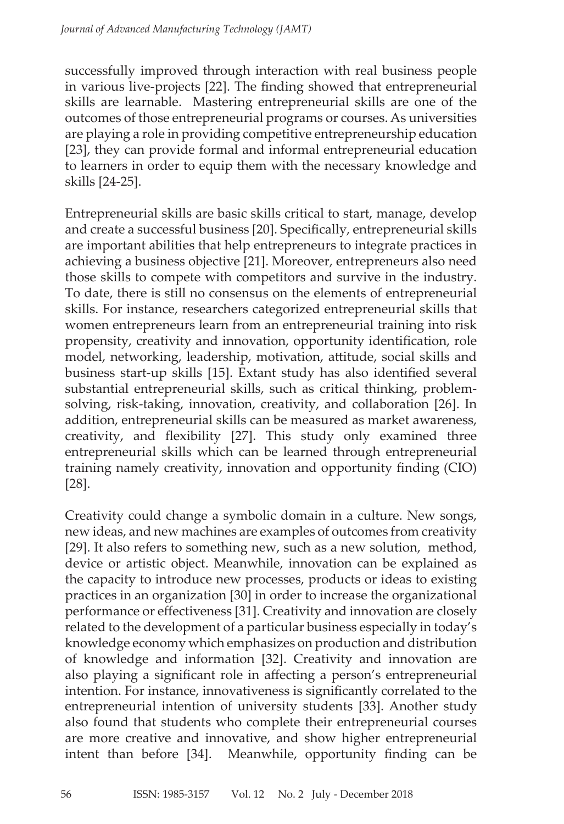successfully improved through interaction with real business people in various live-projects [22]. The finding showed that entrepreneurial skills are learnable. Mastering entrepreneurial skills are one of the outcomes of those entrepreneurial programs or courses. As universities are playing a role in providing competitive entrepreneurship education [23], they can provide formal and informal entrepreneurial education to learners in order to equip them with the necessary knowledge and skills [24-25].

Entrepreneurial skills are basic skills critical to start, manage, develop and create a successful business [20]. Specifically, entrepreneurial skills are important abilities that help entrepreneurs to integrate practices in achieving a business objective [21]. Moreover, entrepreneurs also need those skills to compete with competitors and survive in the industry. To date, there is still no consensus on the elements of entrepreneurial skills. For instance, researchers categorized entrepreneurial skills that women entrepreneurs learn from an entrepreneurial training into risk propensity, creativity and innovation, opportunity identification, role model, networking, leadership, motivation, attitude, social skills and business start-up skills [15]. Extant study has also identified several substantial entrepreneurial skills, such as critical thinking, problemsolving, risk-taking, innovation, creativity, and collaboration [26]. In addition, entrepreneurial skills can be measured as market awareness, creativity, and flexibility [27]. This study only examined three entrepreneurial skills which can be learned through entrepreneurial training namely creativity, innovation and opportunity finding (CIO) [28].

Creativity could change a symbolic domain in a culture. New songs, new ideas, and new machines are examples of outcomes from creativity [29]. It also refers to something new, such as a new solution, method, device or artistic object. Meanwhile, innovation can be explained as the capacity to introduce new processes, products or ideas to existing practices in an organization [30] in order to increase the organizational performance or effectiveness [31]. Creativity and innovation are closely related to the development of a particular business especially in today's knowledge economy which emphasizes on production and distribution of knowledge and information [32]. Creativity and innovation are also playing a significant role in affecting a person's entrepreneurial intention. For instance, innovativeness is significantly correlated to the entrepreneurial intention of university students [33]. Another study also found that students who complete their entrepreneurial courses are more creative and innovative, and show higher entrepreneurial intent than before [34]. Meanwhile, opportunity finding can be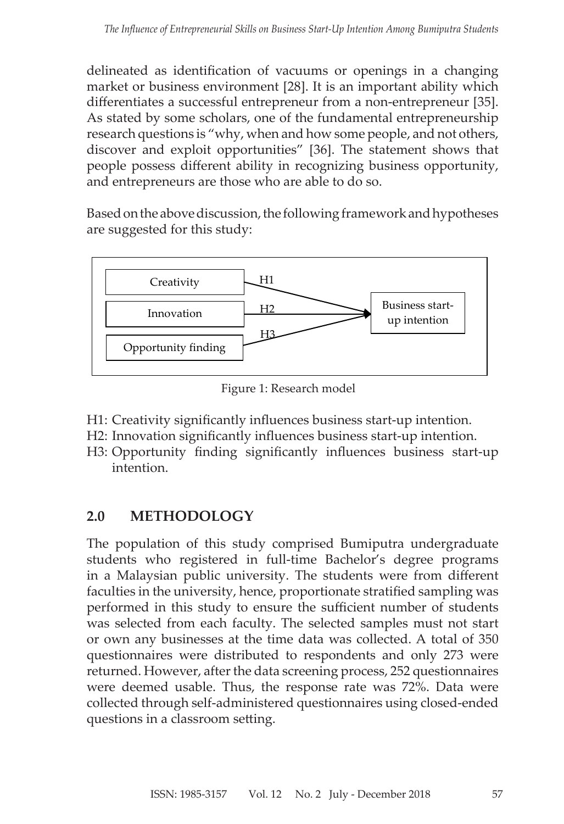students who complete their entrepreneurial courses are more

delineated as identification of vacuums or openings in a changing market or business environment [28]. It is an important ability which differentiates a successful entrepreneur from a non-entrepreneur [35]. As stated by some scholars, one of the fundamental entrepreneurship research questions is "why, when and how some people, and not others, discover and exploit opportunities" [36]. The statement shows that people possess different ability in recognizing business opportunity, propre possess american ability in recognizing business opportunity and entrepreneurs are those who are able to do so. na entrepreneurs are those who are able to do so.

Based on the above discussion, the following framework and hypotheses Based on the above discussion, the following framework and are suggested for this study:



Figure 1: Research model Figure 1: Research model

- H1: Creativity significantly influences business start-up intention. H1: Creativity significantly influences business start-up intention.
- H2: Innovation significantly influences business start-up intention. H2: Innovation significantly influences business start-up intention.  $\frac{1}{2}$ . Innovation significantly influences business start-up interferom.
- H3: Opportunity finding significantly influences business start-up intention.

#### **2.0 METHODOLOGY 2.0 METHODOLOGY**

The population of this study comprised Bumiputra undergraduate students who registered in full-time Bachelor's degree programs in a Malaysian public university. The students were from different faculties in the university, hence, proportionate stratified sampling was performed in this study to ensure the sufficient number of students performed in this state) to choint the same data rank of statements was selected from each faculty. The selected samples must not start or own any businesses at the time data was collected. A total of 350 or own any businesses at the time data was conceted. A total or 550 questionnaires were distributed to respondents and only 273 were returned. However, after the data screening process, 252 questionnaires were deemed usable. Thus, the response rate was 72%. Data were collected through self-administered questionnaires using closed-ended questions in a classroom setting.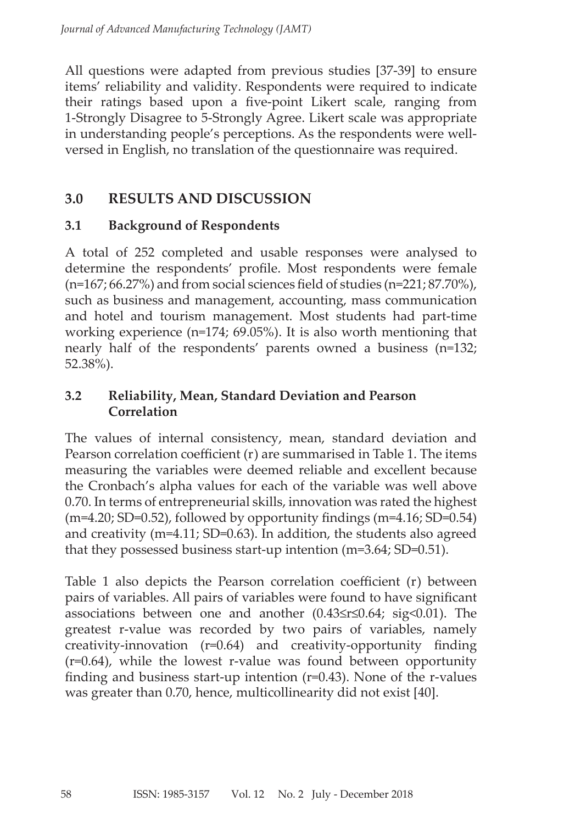All questions were adapted from previous studies [37-39] to ensure items' reliability and validity. Respondents were required to indicate their ratings based upon a five-point Likert scale, ranging from 1-Strongly Disagree to 5-Strongly Agree. Likert scale was appropriate in understanding people's perceptions. As the respondents were wellversed in English, no translation of the questionnaire was required.

# **3.0 RESULTS AND DISCUSSION**

#### **3.1 Background of Respondents**

A total of 252 completed and usable responses were analysed to determine the respondents' profile. Most respondents were female  $(n=167; 66.27%)$  and from social sciences field of studies  $(n=221; 87.70%)$ , such as business and management, accounting, mass communication and hotel and tourism management. Most students had part-time working experience (n=174; 69.05%). It is also worth mentioning that nearly half of the respondents' parents owned a business (n=132; 52.38%).

#### **3.2 Reliability, Mean, Standard Deviation and Pearson Correlation**

The values of internal consistency, mean, standard deviation and Pearson correlation coefficient (r) are summarised in Table 1. The items measuring the variables were deemed reliable and excellent because the Cronbach's alpha values for each of the variable was well above 0.70. In terms of entrepreneurial skills, innovation was rated the highest  $(m=4.20; SD=0.52)$ , followed by opportunity findings  $(m=4.16; SD=0.54)$ and creativity (m=4.11; SD=0.63). In addition, the students also agreed that they possessed business start-up intention (m=3.64; SD=0.51).

Table 1 also depicts the Pearson correlation coefficient (r) between pairs of variables. All pairs of variables were found to have significant associations between one and another (0.43≤r≤0.64; sig<0.01). The greatest r-value was recorded by two pairs of variables, namely creativity-innovation (r=0.64) and creativity-opportunity finding (r=0.64), while the lowest r-value was found between opportunity finding and business start-up intention (r=0.43). None of the r-values was greater than 0.70, hence, multicollinearity did not exist [40].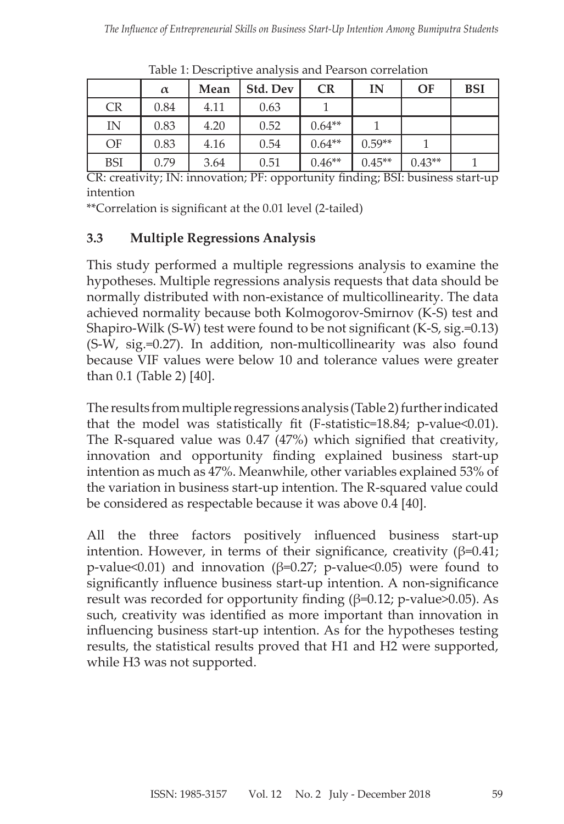|            | $\alpha$ | Mean | Std. Dev | <b>CR</b> | IN       | OF       | <b>BSI</b> |
|------------|----------|------|----------|-----------|----------|----------|------------|
| <b>CR</b>  | 0.84     | 4.11 | 0.63     |           |          |          |            |
| IN         | 0.83     | 4.20 | 0.52     | $0.64**$  |          |          |            |
| OF         | 0.83     | 4.16 | 0.54     | $0.64**$  | $0.59**$ |          |            |
| <b>BSI</b> | 0.79     | 3.64 | 0.51     | $0.46**$  | $0.45**$ | $0.43**$ |            |

Table 1: Descriptive analysis and Pearson correlation

CR: creativity; IN: innovation; PF: opportunity finding; BSI: business start-up intention

\*\*Correlation is significant at the 0.01 level (2-tailed)

### **3.3 Multiple Regressions Analysis**

This study performed a multiple regressions analysis to examine the hypotheses. Multiple regressions analysis requests that data should be normally distributed with non-existance of multicollinearity. The data achieved normality because both Kolmogorov-Smirnov (K-S) test and Shapiro-Wilk (S-W) test were found to be not significant (K-S, sig.=0.13) (S-W, sig.=0.27). In addition, non-multicollinearity was also found because VIF values were below 10 and tolerance values were greater than 0.1 (Table 2) [40].

The results from multiple regressions analysis (Table 2) further indicated that the model was statistically fit (F-statistic=18.84; p-value<0.01). The R-squared value was 0.47 (47%) which signified that creativity, innovation and opportunity finding explained business start-up intention as much as 47%. Meanwhile, other variables explained 53% of the variation in business start-up intention. The R-squared value could be considered as respectable because it was above 0.4 [40].

All the three factors positively influenced business start-up intention. However, in terms of their significance, creativity  $(β=0.41;$ p-value<0.01) and innovation (β=0.27; p-value<0.05) were found to significantly influence business start-up intention. A non-significance result was recorded for opportunity finding ( $\beta$ =0.12; p-value>0.05). As such, creativity was identified as more important than innovation in influencing business start-up intention. As for the hypotheses testing results, the statistical results proved that H1 and H2 were supported, while H3 was not supported.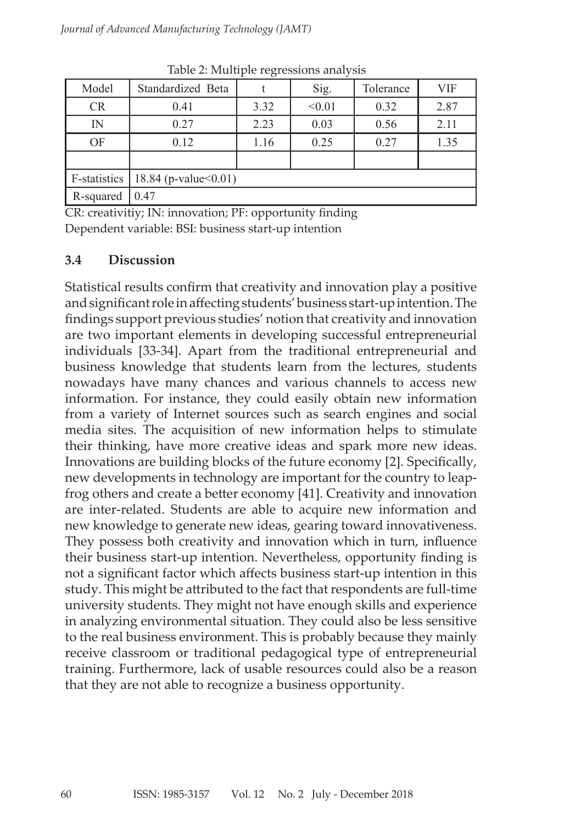| Model        | Standardized Beta         |      | Sig.   | Tolerance | VIF  |  |  |  |  |
|--------------|---------------------------|------|--------|-----------|------|--|--|--|--|
| <b>CR</b>    | 0.41                      | 3.32 | < 0.01 | 0.32      | 2.87 |  |  |  |  |
| IN           | 0.27                      | 2.23 | 0.03   | 0.56      | 2.11 |  |  |  |  |
| OF           | 0.12                      | 1.16 | 0.25   | 0.27      | 1.35 |  |  |  |  |
|              |                           |      |        |           |      |  |  |  |  |
| F-statistics | 18.84 (p-value $< 0.01$ ) |      |        |           |      |  |  |  |  |
| R-squared    | 0.47                      |      |        |           |      |  |  |  |  |

Table 2: Multiple regressions analysis

CR: creativitiy; IN: innovation; PF: opportunity finding Dependent variable: BSI: business start-up intention

#### **3.4 Discussion**

Statistical results confirm that creativity and innovation play a positive and significant role in affecting students' business start-up intention. The findings support previous studies' notion that creativity and innovation are two important elements in developing successful entrepreneurial individuals [33-34]. Apart from the traditional entrepreneurial and business knowledge that students learn from the lectures, students nowadays have many chances and various channels to access new information. For instance, they could easily obtain new information from a variety of Internet sources such as search engines and social media sites. The acquisition of new information helps to stimulate their thinking, have more creative ideas and spark more new ideas. Innovations are building blocks of the future economy [2]. Specifically, new developments in technology are important for the country to leapfrog others and create a better economy [41]. Creativity and innovation are inter-related. Students are able to acquire new information and new knowledge to generate new ideas, gearing toward innovativeness. They possess both creativity and innovation which in turn, influence their business start-up intention. Nevertheless, opportunity finding is not a significant factor which affects business start-up intention in this study. This might be attributed to the fact that respondents are full-time university students. They might not have enough skills and experience in analyzing environmental situation. They could also be less sensitive to the real business environment. This is probably because they mainly receive classroom or traditional pedagogical type of entrepreneurial training. Furthermore, lack of usable resources could also be a reason that they are not able to recognize a business opportunity.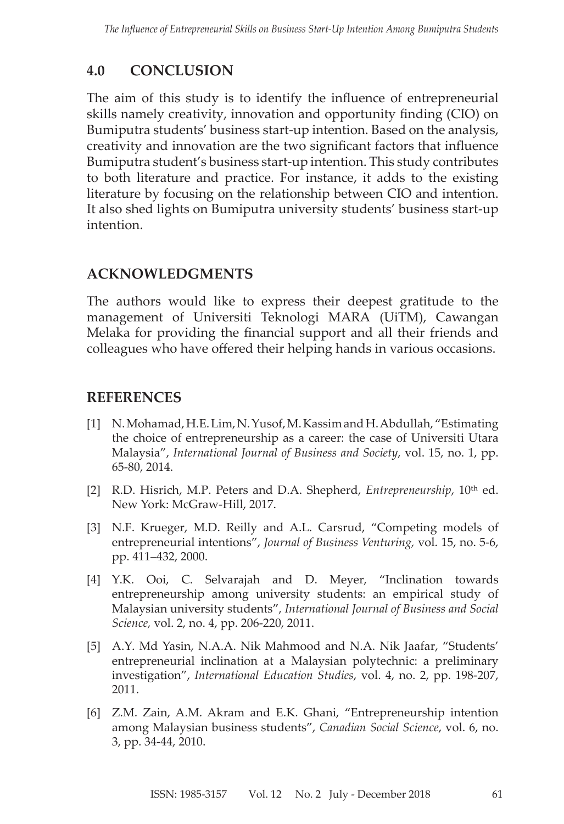# **4.0 CONCLUSION**

The aim of this study is to identify the influence of entrepreneurial skills namely creativity, innovation and opportunity finding (CIO) on Bumiputra students' business start-up intention. Based on the analysis, creativity and innovation are the two significant factors that influence Bumiputra student's business start-up intention. This study contributes to both literature and practice. For instance, it adds to the existing literature by focusing on the relationship between CIO and intention. It also shed lights on Bumiputra university students' business start-up intention.

## **ACKNOWLEDGMENTS**

The authors would like to express their deepest gratitude to the management of Universiti Teknologi MARA (UiTM), Cawangan Melaka for providing the financial support and all their friends and colleagues who have offered their helping hands in various occasions.

# **REFERENCES**

- [1] N. Mohamad, H.E. Lim, N. Yusof, M. Kassim and H. Abdullah, "Estimating the choice of entrepreneurship as a career: the case of Universiti Utara Malaysia", *International Journal of Business and Society*, vol. 15, no. 1, pp. 65-80, 2014.
- [2] R.D. Hisrich, M.P. Peters and D.A. Shepherd, *Entrepreneurship*, 10th ed. New York: McGraw-Hill, 2017.
- [3] N.F. Krueger, M.D. Reilly and A.L. Carsrud, "Competing models of entrepreneurial intentions", *Journal of Business Venturing,* vol. 15, no. 5-6, pp. 411–432, 2000.
- [4] Y.K. Ooi, C. Selvarajah and D. Meyer, "Inclination towards entrepreneurship among university students: an empirical study of Malaysian university students", *International Journal of Business and Social Science,* vol. 2, no. 4, pp. 206-220, 2011.
- [5] A.Y. Md Yasin, N.A.A. Nik Mahmood and N.A. Nik Jaafar, "Students' entrepreneurial inclination at a Malaysian polytechnic: a preliminary investigation", *International Education Studies*, vol. 4, no. 2, pp. 198-207, 2011.
- [6] Z.M. Zain, A.M. Akram and E.K. Ghani, "Entrepreneurship intention among Malaysian business students", *Canadian Social Science*, vol. 6, no. 3, pp. 34-44, 2010.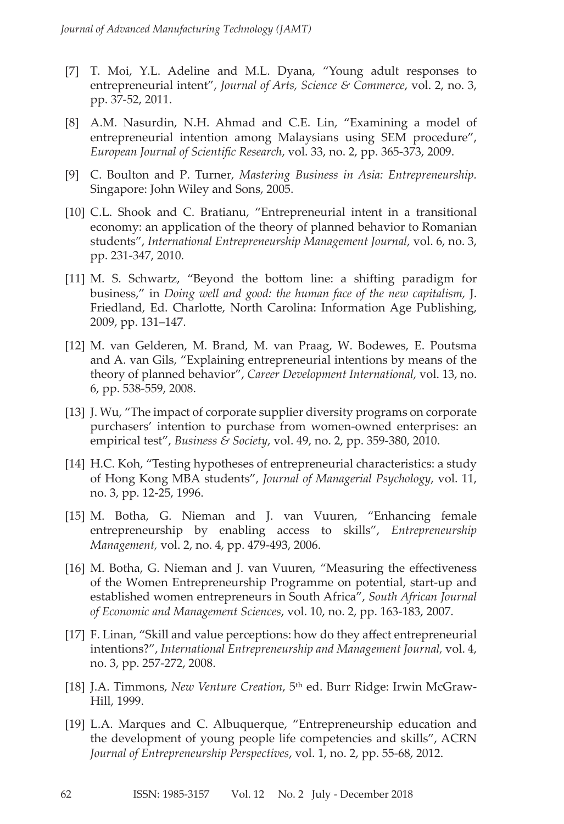- [7] T. Moi, Y.L. Adeline and M.L. Dyana, "Young adult responses to entrepreneurial intent", *Journal of Arts, Science & Commerce*, vol. 2, no. 3, pp. 37-52, 2011.
- [8] A.M. Nasurdin, N.H. Ahmad and C.E. Lin, "Examining a model of entrepreneurial intention among Malaysians using SEM procedure", *European Journal of Scientific Research*, vol. 33, no. 2, pp. 365-373, 2009.
- [9] C. Boulton and P. Turner, *Mastering Business in Asia: Entrepreneurship.*  Singapore: John Wiley and Sons, 2005.
- [10] C.L. Shook and C. Bratianu, "Entrepreneurial intent in a transitional economy: an application of the theory of planned behavior to Romanian students", *International Entrepreneurship Management Journal,* vol. 6, no. 3, pp. 231-347, 2010.
- [11] M. S. Schwartz, "Beyond the bottom line: a shifting paradigm for business," in *Doing well and good: the human face of the new capitalism,* J. Friedland, Ed. Charlotte, North Carolina: Information Age Publishing, 2009, pp. 131–147.
- [12] M. van Gelderen, M. Brand, M. van Praag, W. Bodewes, E. Poutsma and A. van Gils, "Explaining entrepreneurial intentions by means of the theory of planned behavior", *Career Development International,* vol. 13, no. 6, pp. 538-559, 2008.
- [13] J. Wu, "The impact of corporate supplier diversity programs on corporate purchasers' intention to purchase from women-owned enterprises: an empirical test", *Business & Society*, vol. 49, no. 2, pp. 359-380, 2010.
- [14] H.C. Koh, "Testing hypotheses of entrepreneurial characteristics: a study of Hong Kong MBA students", *Journal of Managerial Psychology*, vol. 11, no. 3, pp. 12-25, 1996.
- [15] M. Botha, G. Nieman and J. van Vuuren, "Enhancing female entrepreneurship by enabling access to skills", *Entrepreneurship Management,* vol. 2, no. 4, pp. 479-493, 2006.
- [16] M. Botha, G. Nieman and J. van Vuuren, "Measuring the effectiveness of the Women Entrepreneurship Programme on potential, start-up and established women entrepreneurs in South Africa", *South African Journal of Economic and Management Sciences*, vol. 10, no. 2, pp. 163-183, 2007.
- [17] F. Linan, "Skill and value perceptions: how do they affect entrepreneurial intentions?", *International Entrepreneurship and Management Journal,* vol. 4, no. 3, pp. 257-272, 2008.
- [18] J.A. Timmons, *New Venture Creation*, 5th ed. Burr Ridge: Irwin McGraw‐ Hill, 1999.
- [19] L.A. Marques and C. Albuquerque, "Entrepreneurship education and the development of young people life competencies and skills", ACRN *Journal of Entrepreneurship Perspectives*, vol. 1, no. 2, pp. 55-68, 2012.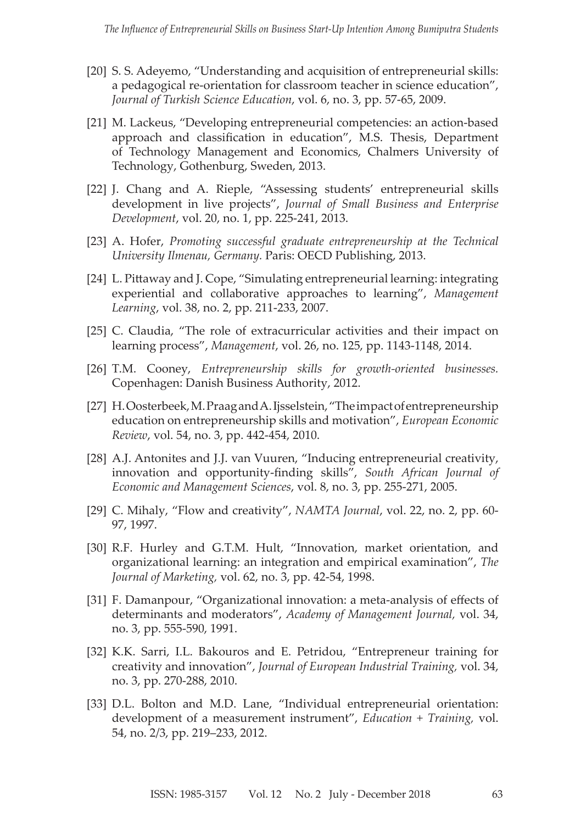- [20] S. S. Adeyemo, "Understanding and acquisition of entrepreneurial skills: a pedagogical re-orientation for classroom teacher in science education", *Journal of Turkish Science Education*, vol. 6, no. 3, pp. 57-65, 2009.
- [21] M. Lackeus, "Developing entrepreneurial competencies: an action-based approach and classification in education", M.S. Thesis, Department of Technology Management and Economics, Chalmers University of Technology, Gothenburg, Sweden, 2013.
- [22] J. Chang and A. Rieple, "Assessing students' entrepreneurial skills development in live projects", *Journal of Small Business and Enterprise Development*, vol. 20, no. 1, pp. 225-241, 2013.
- [23] A. Hofer, *Promoting successful graduate entrepreneurship at the Technical University Ilmenau, Germany.* Paris: OECD Publishing, 2013.
- [24] L. Pittaway and J. Cope, "Simulating entrepreneurial learning: integrating experiential and collaborative approaches to learning", *Management Learning*, vol. 38, no. 2, pp. 211-233, 2007.
- [25] C. Claudia, "The role of extracurricular activities and their impact on learning process", *Management*, vol. 26, no. 125, pp. 1143-1148, 2014.
- [26] T.M. Cooney, *Entrepreneurship skills for growth-oriented businesses*. Copenhagen: Danish Business Authority, 2012.
- [27] H. Oosterbeek, M. Praag and A. Ijsselstein, "The impact of entrepreneurship education on entrepreneurship skills and motivation", *European Economic Review*, vol. 54, no. 3, pp. 442-454, 2010.
- [28] A.J. Antonites and J.J. van Vuuren, "Inducing entrepreneurial creativity, innovation and opportunity-finding skills", *South African Journal of Economic and Management Sciences*, vol. 8, no. 3, pp. 255-271, 2005.
- [29] C. Mihaly, "Flow and creativity", *NAMTA Journal*, vol. 22, no. 2, pp. 60- 97, 1997.
- [30] R.F. Hurley and G.T.M. Hult, "Innovation, market orientation, and organizational learning: an integration and empirical examination", *The Journal of Marketing,* vol. 62, no. 3, pp. 42-54, 1998.
- [31] F. Damanpour, "Organizational innovation: a meta-analysis of effects of determinants and moderators", *Academy of Management Journal,* vol. 34, no. 3, pp. 555-590, 1991.
- [32] K.K. Sarri, I.L. Bakouros and E. Petridou, "Entrepreneur training for creativity and innovation", *Journal of European Industrial Training,* vol. 34, no. 3, pp. 270-288, 2010.
- [33] D.L. Bolton and M.D. Lane, "Individual entrepreneurial orientation: development of a measurement instrument", *Education + Training,* vol. 54, no. 2/3, pp. 219–233, 2012.